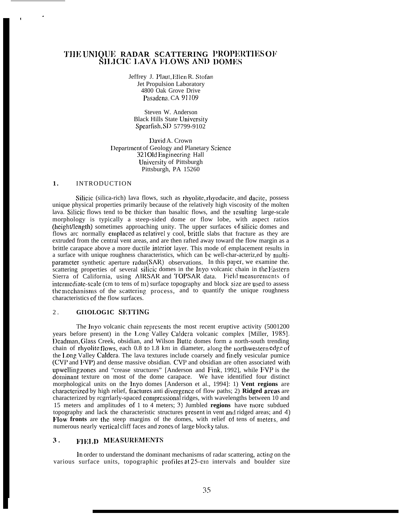# **TIIE UNIQIJIL RADAR SCATTERING l'ROPItRTIIS 01~** SILICIC LAVA FLOWS AND DOMES

Jeffrey J. Plaut, Ellen R. Stofan Jet Propulsion Laboratory 4800 Oak Grove Drive Pasadena, CA 91109

Steven W. Anderson Black Hills State University Spcarfish, SD 57799-9102

l)avid A. Crown Department of Geology and Planetary Science 321 Old Engineering Hall LJniversity of Pittsburgh Pittsburgh, PA 15260

#### **1 .** INTRODUCTION

Silicic (silica-rich) lava flows, such as rhyolite, rhyodacite, and dacite, possess unique physical properties primarily because of the relatively high viscosity of the molten lava. Silicic flows tend to be thicker than basaltic flows, and the resulting large-scale morphology is typically a steep-sided dome or flow lobe, with aspect ratios (height/length) sometimes approaching unity. The upper surfaces of silicic domes and flows arc normally emplaced as relativel y cool, brittle slabs that fracture as they are extruded from the central vent areas, and are then rafted away toward the flow margin as a brittle carapace above a more ductile interior layer. This mode of emplacement results in a surface with unique roughness characteristics, which can bc well-char-acteriz,ed by multiparameter synthetic aperture radar (SAR) observations. In this paper, we examine the. scattering properties of several silicic domes in the Inyo volcanic chain in the liastern Sierra of California, using AIRSAR and TOPSAR data. Field measurements of intermediate-scale (cm to tens of m) surface topography and block size are used to assess the mechanisms of the scattering process, and to quantify the unique roughness characteristics of the flow surfaces.

## 2. **GI1OLOG1C SETTING**

The Inyo volcanic chain represents the most recent eruptive activity (5001200) years before present) in the 1.ong Valley Caldcra volcanic complex [Miller, 1985]. Deadman, Glass Creek, obsidian, and Wilson Butte domes form a north-south trending chain of rhyolite flows, each  $0.8$  to 1.8 km in diameter, along the northwestern edge of the I.ong Valley Caldcra. The lava textures include coarsely and finely vesicular pumice (CVP and FVP) and dense massive obsidian. CVP and obsidian are often associated with upwelling zones and "crease structures" [Anderson and Fink, 1992], while FVP is the dominant texture on most of the dome carapace. We have identified four distinct morphological units on the lnyo domes [Anderson et al., 1994]: 1) **Vent regions** are characterized by high relief, fractures anti divergence of flow paths; 2) **Ridged areas** are characterized by regrrlarly-spaced compressional ridges, with wavelengths between 10 and 15 meters and amplitudes of 1 to 4 meters; 3) Jumbled **regions** have more subdued topography and lack the characteristic structures present in vent and ridged areas; and 4) Flow fronts are the steep margins of the domes, with relief of tens of meters, and numerous nearly vertical cliff faces and zones of large blocky talus.

### 3. FIELD MEASUREMENTS

In order to understand the dominant mechanisms of radar scattering, acting on the various surface units, topographic profiles at 25-cm intervals and boulder size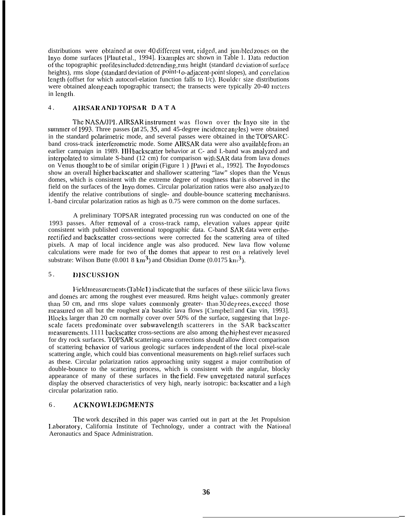distributions were obtained at over  $40$  different vent, ridged, and jumbled zones on the Inyo dome surfaces [Plaut et al., 1994]. Examples arc shown in Table 1. Data reduction of the topographic profiles included: determing, rms height (standard deviation of surface heights), rms slope (standard deviation of  $point-t_0$ -adjacent-point slopes), and correlation length (offset for which autocorl-elation function falls to  $I/c$ ). Boulder size distributions were obtained along cach topographic transect; the transects were typically 20-40 meters in length.

#### 4 . **AIRSAR AN]) TO1'SAR DAT A**

The NASA/JPL AIRSAR instrument was flown over the lnyo site in the summer of 1993. Three passes (at  $25$ ,  $35$ , and  $45$ -degree incidence angles) were obtained in the standard polarimetric mode, and several passes were obtained in the TOPSARCband cross-track interferometric mode. Some AIRSAR data were also available from an earlier campaign in 1989. HH backscatter behavior at C- and I.-band was analyzed and interpolated to simulate S-band  $(12 \text{ cm})$  for comparison with SAR data from lava domes on Venus thought to be of similar origin (Figure 1) [Pavri et al., 1992]. The Inyo domes show an overall higher backscatter and shallower scattering "law" slopes than the Venus domes, which is consistent with the extreme degree of roughness that is observed in the field on the surfaces of the lnyo domes. Circular polarization ratios were also analyzcci to identify the relative contributions of single- and double-bounce scattering mechanisms. I.-band circular polarization ratios as high as 0.75 were common on the dome surfaces.

A preliminary TOPSAR integrated processing run was conducted on one of the 1993 passes. After rcrnoval of a cross-track ramp, elevation values appear ciuitc consistent with published conventional topographic data. C-band SAR data were orthorectified and backscatter cross-sections were corrected for the scattering area of tilted pixels. A map of local incidence angle was also produced. New lava flow volume calculations were made for two of the domes that appear to rest on a relatively level substrate: Wilson Butte (0.001 8 km<sup>3</sup>) and Obsidian Dome (0.0175 km<sup>3</sup>).

## 5. DISCUSSION

Field measurements (Table 1) indicate that the surfaces of these silicic lava flows and domis arc among the roughest ever measured. Rms height values commonly greater than 50 cm, and rms slope values commonly greater- than 30 degrees, exceed those measured on all but the roughest a'a basaltic lava flows [Campbell and Gal vin, 1993]. IIlocks larger than 20 cm normally cover over 50% of the surface, suggesting that largescale facets predominate over subwavelength scatterers in the SAR backscatter measurements. 1111 backscatter cross-sections are also among the highest ever measured for dry rock surfaces. TOPSAR scattering-area corrections should allow direct comparison of scattering behavior of various geologic surfaces independent of the local pixel-scale scattering angle, which could bias conventional measurements on high relief surfaces such as these. Circular polarization ratios approaching unity suggest a major contribution of double-bounce to the scattering process, which is consistent with the angular, blocky appearance of many of these surfaces in the field. Few unvegetated natural surfaces display the observed characteristics of very high, nearly isotropic: backscatter and a high circular polarization ratio.

## 6. ACKNOWLEDGMENTS

The work described in this paper was carried out in part at the Jet Propulsion Laboratory, California Institute of Technology, under a contract with the National Aeronautics and Space Administration.

**—**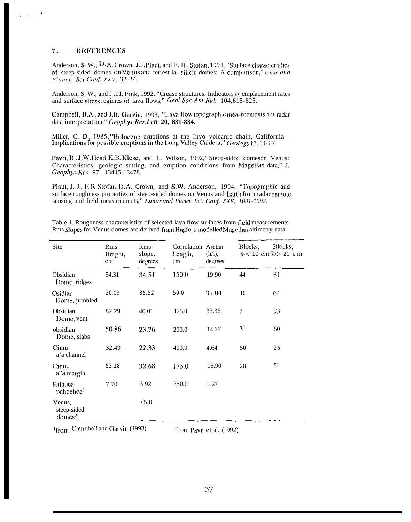#### $7.$ **REFERENCES**

Anderson, \$. W., D.A. Crown, J.J. Plaut, and E. I{. Stofan, 1994, "Sur face characteristics of steep-sided domes on Venus and terrestrial silicic domes: A comparison," lunar and Planet. Sci.Conf. XXV, 33-34.

Anderson, S. W., and J.11. Fink, 1992, "Crease structures: Indicators of emplacement rates and surface stress regimes of lava flows," Geol. Soc. Am. Bul. 104,615-625.

Campbell, B.A., and J.B. Garvin, 1993, "Lava flow topographic measurements for radar data interpretation," Geophys. Res. Lett. 20, 831-834.

Miller, C. D., 1985, "Holocene eruptions at the Inyo volcanic chain, California - Implications for possible eruptions in the Long Valley Caldera," Geology 13, 14-17.

Pavri, B., J.W. Head, K.B. Klose, and L. Wilson, 1992,"Steep-sided domeson Venus: Characteristics, geologic setting, and eruption conditions from Magellan data," J. Geophys. Res. 97, 13445-13478.

Plaut, J. J., E.R. Stofan, D.A. Crown, and S.W. Anderson, 1994, "Topographic and surface roughness properties of steep-sided domes on Venus and Earth from radar remote sensing and field measurements," Lunar and Planet. Sci. Conf. XXV, 1091-1092.

| Site                                        | Rms<br>Height,<br>$cm$ | Rms<br>slope,<br>degrees | Correlation Arctan<br>Length,<br>cm | $(h/l)$ ,<br>degrees | Blocks, | Blocks.<br>% < 10 cm % > 20 cm |
|---------------------------------------------|------------------------|--------------------------|-------------------------------------|----------------------|---------|--------------------------------|
| Obsidian<br>Dome, ridges                    | 54.31                  | 34.51                    | 150.0                               | 19.90                | 44      | 31                             |
| Osidian<br>Dome, jumbled                    | 30.09                  | 35.52                    | 50.0                                | 31.04                | 10      | 64                             |
| Obsidian<br>Dome, vent                      | 82.29                  | 40.01                    | 125.0                               | 33.36                | 7       | 73                             |
| obsidian<br>Dome, slabs                     | 50.86                  | 23.76                    | 200.0                               | 14.27                | 31      | 50                             |
| Cima,<br>a'a channel                        | 32.49                  | 22.33                    | 400.0                               | 4.64                 | 50      | 2.6                            |
| Cima,<br>a"a margin                         | 53.18                  | 32.68                    | 175.0                               | 16.90                | 28      | 51                             |
| Kilauca,<br>pahochoc <sup>1</sup>           | 7.70                   | 3.92                     | 350.0                               | 1.27                 |         |                                |
| Venus,<br>steep-sided<br>domes <sup>2</sup> |                        | < 5.0                    |                                     |                      |         |                                |

Table 1. Roughness characteristics of selected lava flow surfaces from field measurements. Rms slopes for Venus domes arc derived from Hagfors-modelled Magellan altimetry data.

1from Campbell and Garvin (1993)

'from Pavr et al. (992)